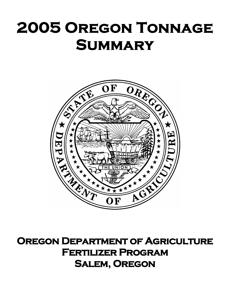## **2005 Oregon Tonnage Summary**



**Oregon Department of Agriculture Fertilizer Program Salem, Oregon**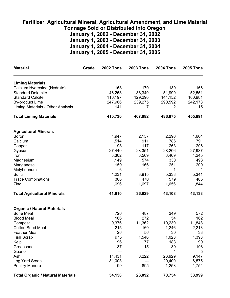## **Fertilizer, Agricultural Mineral, Agricultural Amendment, and Lime Material Tonnage Sold or Distributed into Oregon January 1, 2002 - December 31, 2002**

**January 1, 2003 - December 31, 2003 January 1, 2004 - December 31, 2004 January 1, 2005 - December 31, 2005**

| <b>Material</b>                          | Grade | <b>2002 Tons</b> | <b>2003 Tons</b> | <b>2004 Tons</b> | <b>2005 Tons</b> |
|------------------------------------------|-------|------------------|------------------|------------------|------------------|
| <b>Liming Materials</b>                  |       |                  |                  |                  |                  |
| Calcium Hydroxide (Hydrate)              |       | 168              | 170              | 130              | 166              |
| <b>Standard Dolomite</b>                 |       | 46,258           | 38,340           | 51,999           | 52,551           |
| <b>Standard Calcite</b>                  |       | 116,197          | 129,290          | 144,152          | 160,981          |
| <b>By-product Lime</b>                   |       | 247,966          | 239,275          | 290,592          | 242,178          |
| <b>Liming Materials - Other Analysis</b> |       | 141              | 7                | 2                | <u> 15</u>       |
| <b>Total Liming Materials</b>            |       | 410,730          | 407,082          | 486,875          | 455,891          |
| <b>Agricultural Minerals</b>             |       |                  |                  |                  |                  |
| <b>Boron</b>                             |       | 1,947            | 2,157            | 2,290            | 1,664            |
| Calcium                                  |       | 1,514            | 911              | 786              | 791              |
| Copper                                   |       | 98               | 117              | 263              | 206              |
| Gypsum                                   |       | 27,440           | 23,351           | 28,206           | 27,937           |
| Iron                                     |       | 3,302            | 3,569            | 3,409            | 4,245            |
| Magnesium                                |       | 1,149            | 574              | 330              | 498              |
| Manganese                                |       | 159              | 166              | 251              | 200              |
| Molybdenum                               |       | 6                | $\overline{2}$   | 1                |                  |
| Sulfur                                   |       | 4,231            | 3,915            | 5,338            | 5,341            |
| <b>Trace Combinations</b>                |       | 368              | 470              | 579              | 406              |
| Zinc                                     |       | 1,696            | 1,697            | 1,656            | 1,844            |
| <b>Total Agricultural Minerals</b>       |       | 41,910           | 36,929           | 43,108           | 43,133           |
| <b>Organic / Natural Materials</b>       |       |                  |                  |                  |                  |
| <b>Bone Meal</b>                         |       | 726              | 487              | 349              | 572              |
| <b>Blood Meal</b>                        |       | 166              | 272              | 54               | 162              |
| Compost                                  |       | 9,376            | 11,362           | 10,239           | 11,848           |
| <b>Cotton Seed Meal</b>                  |       | 215              | 160              | 1,246            | 2,213            |
| <b>Feather Meal</b>                      |       | 26               | 56               | 30               | 33               |
| <b>Fish Scrap</b>                        |       | 975              | 1,546            | 1,023            | 1,393            |
| Kelp                                     |       | 96               | 77               | 183              | 99               |
| Greensand                                |       | 37               | 15               | 39               | 198              |
| Guano                                    |       | ---              | ---              | 4                | 5                |
| Ash                                      |       | 11,431           | 8,222            | 26,929           | 9,147            |
| Log Yard Scrap                           |       | 31,003           |                  | 29,400           | 6,575            |
| <b>Poultry Manure</b>                    |       | 99               | 895              | 1,258            | 1,754            |
| <b>Total Organic / Natural Materials</b> |       | 54,150           | 23,092           | 70,754           | 33,999           |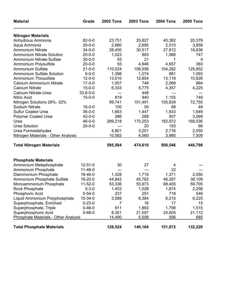| <b>Material</b>                            | Grade          | <b>2002 Tons</b> | <b>2003 Tons</b> | <b>2004 Tons</b> | <b>2005 Tons</b> |
|--------------------------------------------|----------------|------------------|------------------|------------------|------------------|
| <b>Nitrogen Materials</b>                  |                |                  |                  |                  |                  |
| Anhydrous Ammonia                          | $82 - 0 - 0$   | 23,751           | 25,827           | 40,382           | 20,379           |
| Aqua Ammonia                               | $20 - 0 - 0$   | 2,680            | 2,695            | 2,510            | 3,858            |
| <b>Ammonium Nitrate</b>                    | $34 - 0 - 0$   | 28,450           | 30,517           | 27,912           | 16,636           |
| <b>Ammonium Nitrate Solution</b>           | $20 - 0 - 0$   | 1,023            | 893              | 1,066            | 747              |
| Ammonium Nitrate-Sulfate                   | $30 - 0 - 0$   | 93               | 21               | 1                | 4                |
| Ammonium Polysulfide                       | $20 - 0 - 0$   | 55               | 4,946            | 4,657            | 383              |
| Ammonium Sulfate                           | $21 - 0 - 0$   | 110,024          | 106,556          | 104,282          | 125,852          |
| <b>Ammonium Sulfate Solution</b>           | $6 - 0 - 0$    | 1,398            | 1,074            | 881              | 1,093            |
| <b>Ammonium Thiosulfate</b>                | $12 - 0 - 0$   | 13,510           | 12,854           | 13,118           | 10,826           |
| <b>Calcium Ammonium Nitrate</b>            | $17 - 0 - 0$   | 1,057            | 749              | 2,068            | 864              |
| <b>Calcium Nitrate</b>                     | $15 - 0 - 0$   | 6,333            | 5,775            | 4,357            | 4,225            |
| <b>Calcium Nitrate-Urea</b>                | $33.8 - 0 - 0$ | $---$            | 448              |                  |                  |
| <b>Nitric Acid</b>                         | $15 - 0 - 0$   | 819              | 940              | 1,155            | 749              |
| Nitrogen Solutions 28%-32%                 |                | 99,741           | 101,491          | 105,839          | 72,755           |
| Sodium Nitrate                             | $16 - 0 - 0$   | 100              | 55               | 88               | 48               |
| <b>Sulfur Coated Urea</b>                  | $36 - 0 - 0$   | 1,663            | 1,447            | 1,933            | 1,649            |
| <b>Polymer Coated Urea</b>                 | $42 - 0 - 0$   | 286              | 288              | 507              | 3,069            |
| Urea                                       | $46 - 0 - 0$   | 289,218          | 170,253          | 182,972          | 168,036          |
| <b>Urea Solution</b>                       | $20 - 0 - 0$   | ---              | 20               | 193              | 66               |
| Urea Formaldehydes                         |                | 4,801            | 3,201            | 2,716            | 2,050            |
| <b>Nitrogen Materials - Other Analysis</b> |                | 10,582           | 4,560            | 3,985            | 7,509            |
| <b>Total Nitrogen Materials</b>            |                | 595,584          | 474,610          | 500,546          | 440,798          |
| <b>Phosphate Materials</b>                 |                |                  |                  |                  |                  |
| Ammonium Metaphosphate                     | $12 - 51 - 0$  | 30               | 27               | 4                |                  |
| Ammonium Phosphate                         | $11 - 48 - 0$  | $---$            | ---              | 22               |                  |
| Diammonium Phosphate                       | 18-46-0        | 1,328            | 1,715            | 1,371            | 2,050            |
| Ammonium Phosphate Sulfate                 | $16 - 20 - 0$  | 44,842           | 45,762           | 46,287           | 38,109           |
| Monoammonium Phosphate                     | $11 - 52 - 0$  | 53,336           | 55,973           | 68,405           | 59,705           |
| Rock Phosphate                             | $0 - 3 - 0$    | 1,403            | 1,028            | 1,874            | 2,258            |
| Phosphoric Acid                            | $0 - 54 - 0$   | 237              | 251              | 718              | 546              |
| Liquid Ammonium Polyphosphate              | $10-34-0$      | 3,589            | 6,384            | 6,215            | 6,225            |
| Superphosphate, Enriched                   | $0 - 23 - 0$   | 7                | 16               | 17               | 15               |
| Superphosphate, Triple                     | $0 - 46 - 0$   | 911              | 1,893            | 1,798            | 1,515            |
| Superphosphoric Acid                       | $0 - 68 - 0$   | 8,351            | 21,557           | 24,605           | 21,112           |
| Phosphate Materials - Other Analysis       |                | 14,490           | 5,558            | 556              | 685              |
| <b>Total Phosphate Materials</b>           |                | 128,524          | 140,164          | 151,872          | 132,220          |
|                                            |                |                  |                  |                  |                  |